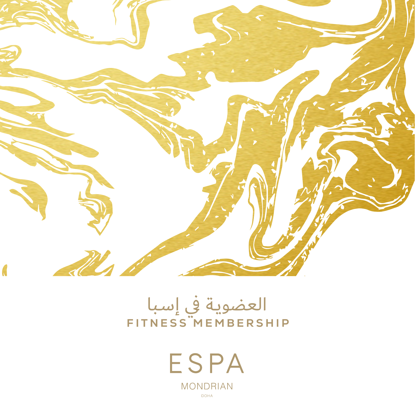

# العضوية في إسبا<br>FITNESS MEMBERSHIP

**ESPA MONDRIAN** DOHA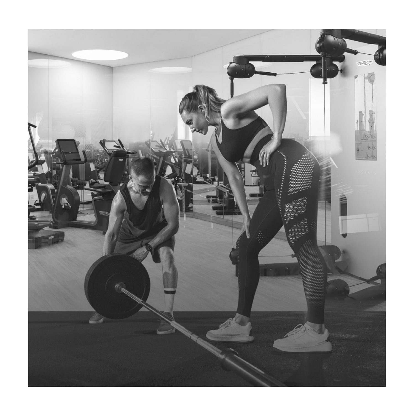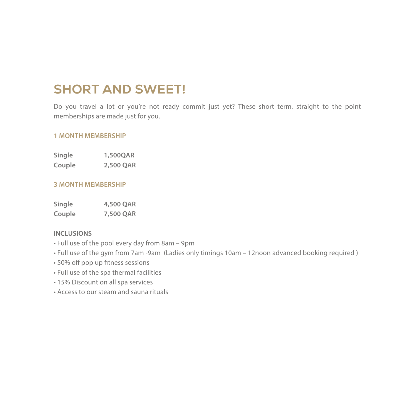### **SHORT AND SWEET!**

Do you travel a lot or you're not ready commit just yet? These short term, straight to the point memberships are made just for you.

#### **1 MONTH MEMBERSHIP**

| Single | 1,500QAR  |
|--------|-----------|
| Couple | 2,500 QAR |

### **3 MONTH MEMBERSHIP**

| Single | 4,500 QAR |
|--------|-----------|
| Couple | 7,500 QAR |

### **INCLUSIONS**

- Full use of the pool every day from 8am 9pm
- Full use of the gym from 7am -9am (Ladies only timings 10am 12noon advanced booking required )
- 50% off pop up fitness sessions
- Full use of the spa thermal facilities
- 15% Discount on all spa services
- Access to our steam and sauna rituals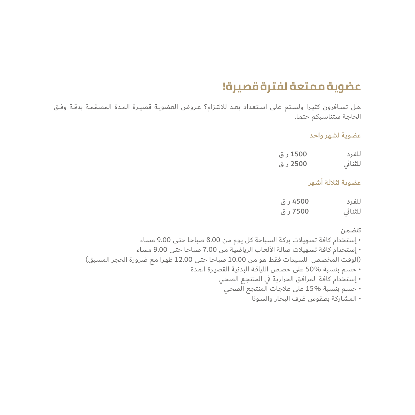### **عضوية ممتعة لفترة قصيرة!**

هـل تسـافرون كثيـرا ولسـتم على اسـتعداد بعـد للالتـزام؟ عـروض العضويـة قصيـرة المدة المصمّمـة بدقـة وفـق الحاجـة ستناسـبكم حتمـا.

### عضويـة لشـهر واحـد

| 1500 ر ق | للفرد   |
|----------|---------|
| 2500 ر ق | للثنائي |

### عضويـة لثلاثـة أشـهر

| 4500 ر ق | للفرد   |
|----------|---------|
| 7500 ر ق | للثنائي |

### تتضمـن

• إسـتخدام كافـة تسـهيلات بركـة السـباحة كل يـوم مـن 8.00 صباحـا حتـى 9.00 مسـاء • إسـتخدام كافـة تسـهيلات صالـة الألعـاب الرياضيـة مـن 7.00 صباحـا حتـى 9.00 مسـاء (الوقـت المخصـص للسـيدات فقـط هـو مـن 10.00 صباحـا حتـى 12.00 ظهـرا مـع ضـرورة الحجـز المسـبق) • حسـم بنسـبة 50% علـى حصـص اللياقـة البدنيـة القصيـرة المـدة • إسـتخدام كافـة المرافـق الحراريـة فـي المنتجـع الصحـي • حسـم بنسـبة 15% علـى علاجـات المنتجـع الصحـي • المشـاركة بطقـوس غـرف البخـار والسـونا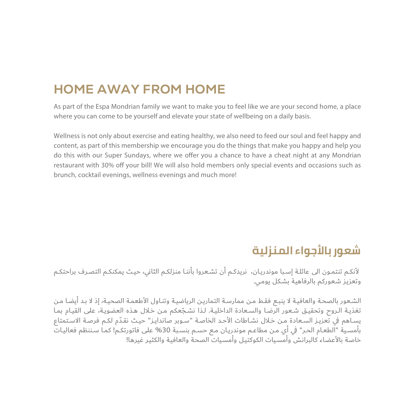# **HOME AWAY FROM HOME**

As part of the Espa Mondrian family we want to make you to feel like we are your second home, a place where you can come to be yourself and elevate your state of wellbeing on a daily basis.

Wellness is not only about exercise and eating healthy, we also need to feed our soul and feel happy and content, as part of this membership we encourage you do the things that make you happy and help you do this with our Super Sundays, where we offer you a chance to have a cheat night at any Mondrian restaurant with 30% off your bill! We will also hold members only special events and occasions such as brunch, cocktail evenings, wellness evenings and much more!

# **شعور بالأجواء المنزلية**

 لأنكــم تنتمــون الــى عائلــة إســبا موندريــان، نريدكــم أن تشــعروا بأننــا منزلكــم الثانــي، حيــث يمكنكــم التصــرف براحتكــم وتعزيـز شـعوركم بالرفاهيـة بشـكل يومـي.

الشــعور بالصحــة والعافيــة لا ينبــع فقــط مــن ممارســة التماريــن الرياضيــة وتنــاول الأطعمــة الصحيــة، إذ لا بــد أيضــا مــن تغذيـة الـروح وتحقيـق شـعور الرضـا والسـعادة الداخليـة. لـذا نشـجّعكم مـن خـلال هـذه العضويـة، على القيـام بمـا يسـاهم في تعزيـز السـعادة مـن خـلال نشـاطات الأحـد الخاصـة "سـوبر صاندايـز" حيـث نقـدّم لكـم فرصـة الاسـتمتاع بأمسـية "الطعـام الحـر" في أي مـن مطاعـم موندريـان مـع حسـم بنسـبة 30% على فاتورتكـم! كمـا سـننظم فعاليـات خاصة بالأعضاء كالبرانش وأمسـات الكوكتيل وأمسـات الصحة والعافية والكثير غيرها!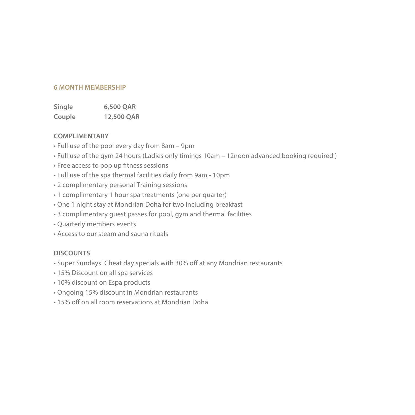#### **6 MONTH MEMBERSHIP**

**Single 6,500 QAR Couple 12,500 QAR**

### **COMPLIMENTARY**

- Full use of the pool every day from 8am 9pm
- Full use of the gym 24 hours (Ladies only timings 10am 12noon advanced booking required )
- Free access to pop up fitness sessions
- Full use of the spa thermal facilities daily from 9am 10pm
- 2 complimentary personal Training sessions
- 1 complimentary 1 hour spa treatments (one per quarter)
- One 1 night stay at Mondrian Doha for two including breakfast
- 3 complimentary guest passes for pool, gym and thermal facilities
- Quarterly members events
- Access to our steam and sauna rituals

### **DISCOUNTS**

- Super Sundays! Cheat day specials with 30% off at any Mondrian restaurants
- 15% Discount on all spa services
- 10% discount on Espa products
- Ongoing 15% discount in Mondrian restaurants
- 15% off on all room reservations at Mondrian Doha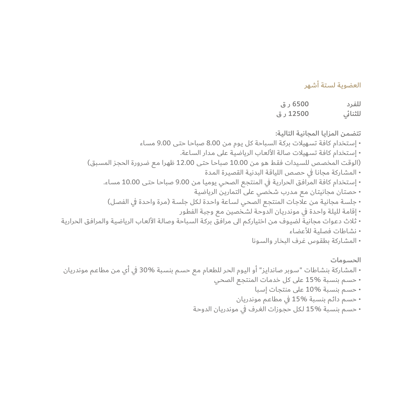### العضويـة لسـتة أشـهر

| 6500 ر ق  | للفرد   |
|-----------|---------|
| 12500 ر ق | للثنائي |

تتضمـن المزايـا المجانيـة التاليـة: • إسـتخدام كافـة تسـهيلات بركـة السـباحة كل يـوم مـن 8.00 صباحـا حتـى 9.00 مسـاء • إسـتخدام كافـة تسـهيلات صالـة الألعـاب الرياضيـة علـى مـدار السـاعة. (الوقـت المخصـص للسـيدات فقـط هـو مـن 10.00 صباحـا حتـى 12.00 ظهـرا مـع ضـرورة الحجـز المسـبق) • المشـاركة مجانـا فـي حصـص اللياقـة البدنيـة القصيـرة المـدة • إسـتخدام كافـة المرافـق الحراريـة فـي المنتجـع الصحـي يوميـا مـن 9.00 صباحـا حتـى 10.00 مسـاء. • حصتـان مجانيتـان مـع مـدرب شـخصي علـى التماريـن الرياضيـة • جلسـة مجانيـة مـن علاجـات المنتجـع الصحـي لسـاعة واحـدة لـكل جلسـة (مـرة واحـدة فـي الفصـل) • إقامـة لليلـة واحـدة فـي موندريـان الدوحـة لشـخصين مـع وجبـة الفطـور

- ثـلاث دعـوات مجانيـة لضيـوف مـن اختياركـم الـى مرافـق بركـة السـباحة وصالـة الألعـاب الرياضيـة والمرافـق الحراريـة • نشـاطات فصليـة للأعضـاء
	- المشـاركة بطقـوس غـرف البخـار والسـونا

الحسـومات

- المشـاركة بنشـاطات "سـوبر صاندايـز" أو اليـوم الحـر للطعـام مـع حسـم بنسـبة 30% فـي أي مـن مطاعـم موندريـان
	- حسـم بنسـبة 15% علـى كل خدمـات المنتجـع الصحـي
		- حسـم بنسـبة 10% علـى منتجـات إسـبا
		- حسـم دائـم بنسـبة 15% فـي مطاعـم موندريـان
	- حسـم بنسـبة 15% لـكل حجـوزات الغـرف فـي موندريـان الدوحـة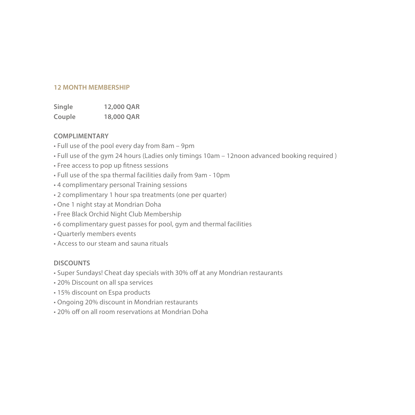#### **12 MONTH MEMBERSHIP**

**Single 12,000 QAR Couple 18,000 QAR**

#### **COMPLIMENTARY**

- Full use of the pool every day from 8am 9pm
- Full use of the gym 24 hours (Ladies only timings 10am 12noon advanced booking required )
- Free access to pop up fitness sessions
- Full use of the spa thermal facilities daily from 9am 10pm
- 4 complimentary personal Training sessions
- 2 complimentary 1 hour spa treatments (one per quarter)
- One 1 night stay at Mondrian Doha
- Free Black Orchid Night Club Membership
- 6 complimentary guest passes for pool, gym and thermal facilities
- Quarterly members events
- Access to our steam and sauna rituals

### **DISCOUNTS**

- Super Sundays! Cheat day specials with 30% off at any Mondrian restaurants
- 20% Discount on all spa services
- 15% discount on Espa products
- Ongoing 20% discount in Mondrian restaurants
- 20% off on all room reservations at Mondrian Doha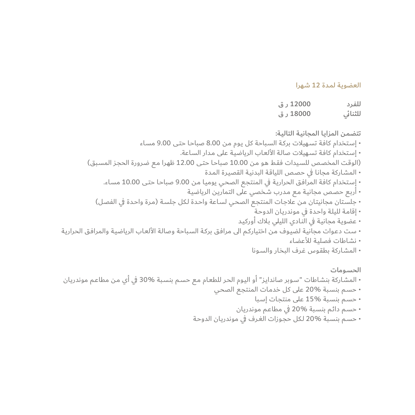### العضويـة لمـدة 12 شـهرا

| 12000 ر ق | للفرد   |
|-----------|---------|
| 18000 ر ق | للثنائي |

تتضمـن المزايـا المجانيـة التاليـة: • إسـتخدام كافـة تسـهيلات بركـة السـباحة كل يـوم مـن 8.00 صباحـا حتـى 9.00 مسـاء • إسـتخدام كافـة تسـهيلات صالـة الألعـاب الرياضيـة علـى مـدار السـاعة. (الوقـت المخصـص للسـيدات فقـط هـو مـن 10.00 صباحـا حتـى 12.00 ظهـرا مـع ضـرورة الحجـز المسـبق) • المشـاركة مجانـا فـي حصـص اللياقـة البدنيـة القصيـرة المـدة • إسـتخدام كافـة المرافـق الحراريـة فـي المنتجـع الصحـي يوميـا مـن 9.00 صباحـا حتـى 10.00 مسـاء. • أربـع حصـص مجانيـة مـع مـدرب شـخصي علـى التماريـن الرياضيـة • جلسـتان مجانيتـان مـن علاجـات المنتجـع الصحـي لسـاعة واحـدة لـكل جلسـة (مـرة واحـدة فـي الفصـل) • إقامـة لليلـة واحـدة فـي موندريـان الدوحـة • عضويـة مجانيـة فـي النـادي الليلـي بـلاك أوركيـد • سـت دعـوات مجانيـة لضيـوف مـن اختياركـم الـى مرافـق بركـة السـباحة وصالـة الألعـاب الرياضيـة والمرافـق الحراريـة • نشـاطات فصليـة للأعضـاء • المشـاركة بطقـوس غـرف البخـار والسـونا

الحسـومات • المشـاركة بنشـاطات "سـوبر صاندايـز" أو اليـوم الحـر للطعـام مـع حسـم بنسـبة 30% فـي أي مـن مطاعـم موندريـان • حسـم بنسـبة 20% علـى كل خدمـات المنتجـع الصحـي • حسـم بنسـبة 15% علـى منتجـات إسـبا • حسـم دائـم بنسـبة 20% فـي مطاعـم موندريـان • حسـم بنسـبة 20% لـكل حجـوزات الغـرف فـي موندريـان الدوحـة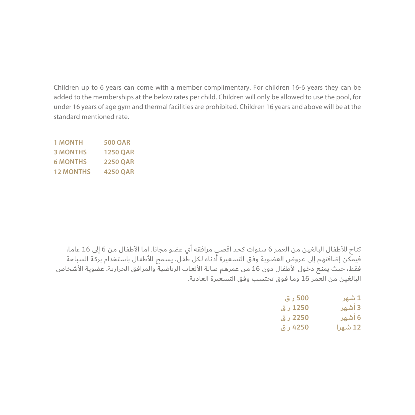Children up to 6 years can come with a member complimentary. For children 16-6 years they can be added to the memberships at the below rates per child. Children will only be allowed to use the pool, for under 16 years of age gym and thermal facilities are prohibited. Children 16 years and above will be at the standard mentioned rate.

| <b>1 MONTH</b>   | <b>500 OAR</b>  |
|------------------|-----------------|
| <b>3 MONTHS</b>  | <b>1250 OAR</b> |
| <b>6 MONTHS</b>  | <b>2250 OAR</b> |
| <b>12 MONTHS</b> | <b>4250 OAR</b> |

تتـاح للأطفـال البالغيـن مـن العمـر 6 سـنوات كحـد اقصـى مرافقـة أي عضـو مجانـا. امـا الأطفـال مـن 6 إلـى 16 عامـا، فيمكـن إضافتهـم إلـى عـروض العضويـة وفـق التسـعيرة أدنـاه لـكل طفـل. يسـمح للأطفـال باسـتخدام بركـة السـباحة فقـط، حيـث يمنـع دخـول الأطفـال دون 16 مـن عمرهـم صالـة الألعـاب الرياضيـة والمرافـق الحراريـة. عضويـة الأشـخاص البالغيـن مـن العمـر 16 ومـا فـوق تحتسـب وفـق التسـعيرة العاديـة.

| 1 شهر   | 500 رق   |
|---------|----------|
| 3 أشهر  | 1250 ر ق |
| 6 أشهر  | 2250 ر ق |
| 12 شهرا | 4250 ر ق |